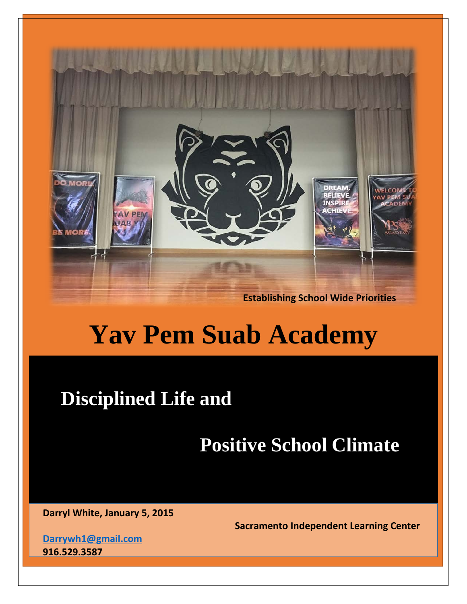

# **Yav Pem Suab Academy**

# **Disciplined Life and**

# **Positive School Climate**

**Darryl White, January 5, 2015** 

**Sacramento Independent Learning Center**

**[Darrywh1@gmail.com](mailto:Darrywh1@gmail.com) 916.529.3587**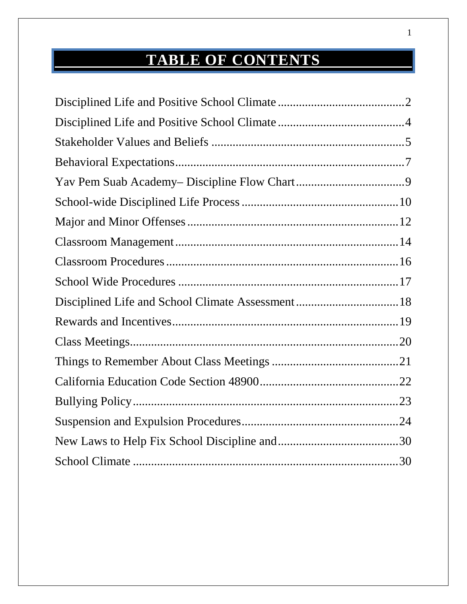## **TABLE OF CONTENTS**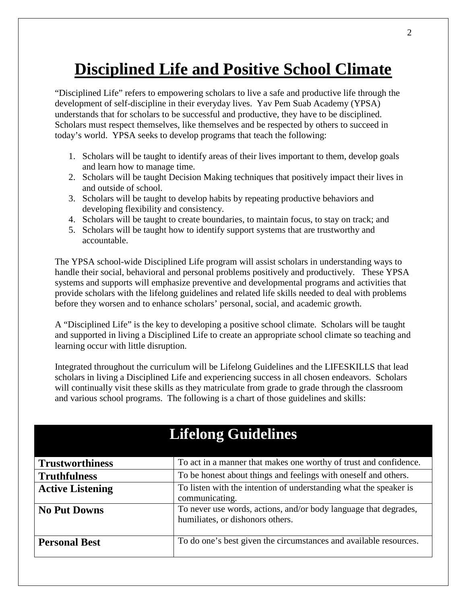## <span id="page-2-0"></span>**Disciplined Life and Positive School Climate**

"Disciplined Life" refers to empowering scholars to live a safe and productive life through the development of self-discipline in their everyday lives. Yav Pem Suab Academy (YPSA) understands that for scholars to be successful and productive, they have to be disciplined. Scholars must respect themselves, like themselves and be respected by others to succeed in today's world. YPSA seeks to develop programs that teach the following:

- 1. Scholars will be taught to identify areas of their lives important to them, develop goals and learn how to manage time.
- 2. Scholars will be taught Decision Making techniques that positively impact their lives in and outside of school.
- 3. Scholars will be taught to develop habits by repeating productive behaviors and developing flexibility and consistency.
- 4. Scholars will be taught to create boundaries, to maintain focus, to stay on track; and
- 5. Scholars will be taught how to identify support systems that are trustworthy and accountable.

The YPSA school-wide Disciplined Life program will assist scholars in understanding ways to handle their social, behavioral and personal problems positively and productively. These YPSA systems and supports will emphasize preventive and developmental programs and activities that provide scholars with the lifelong guidelines and related life skills needed to deal with problems before they worsen and to enhance scholars' personal, social, and academic growth.

A "Disciplined Life" is the key to developing a positive school climate. Scholars will be taught and supported in living a Disciplined Life to create an appropriate school climate so teaching and learning occur with little disruption.

Integrated throughout the curriculum will be Lifelong Guidelines and the LIFESKILLS that lead scholars in living a Disciplined Life and experiencing success in all chosen endeavors. Scholars will continually visit these skills as they matriculate from grade to grade through the classroom and various school programs. The following is a chart of those guidelines and skills:

| <b>Trustworthiness</b>  | To act in a manner that makes one worthy of trust and confidence.                                    |
|-------------------------|------------------------------------------------------------------------------------------------------|
| <b>Truthfulness</b>     | To be honest about things and feelings with oneself and others.                                      |
| <b>Active Listening</b> | To listen with the intention of understanding what the speaker is<br>communicating.                  |
| <b>No Put Downs</b>     | To never use words, actions, and/or body language that degrades,<br>humiliates, or dishonors others. |
| <b>Personal Best</b>    | To do one's best given the circumstances and available resources.                                    |

## **Lifelong Guidelines**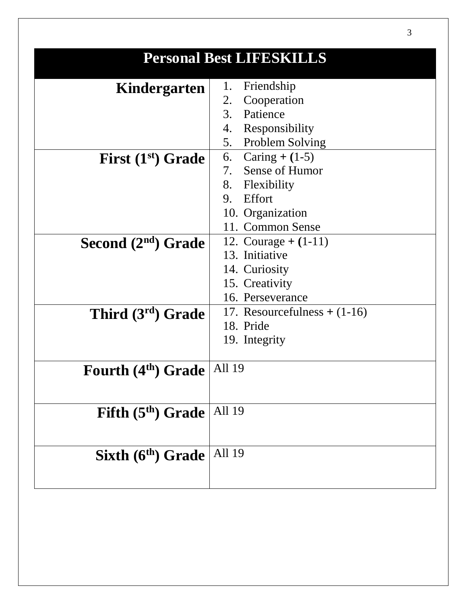|                                 | Personal Best LIFESKILLS      |
|---------------------------------|-------------------------------|
|                                 |                               |
| Kindergarten                    | Friendship<br>1.              |
|                                 | Cooperation<br>2.             |
|                                 | 3.<br>Patience                |
|                                 | 4.<br>Responsibility          |
|                                 | 5.<br><b>Problem Solving</b>  |
| First $(1st)$ Grade             | 6. Caring $+(1-5)$            |
|                                 | 7. Sense of Humor             |
|                                 | 8. Flexibility                |
|                                 | Effort<br>9.                  |
|                                 | 10. Organization              |
|                                 | 11. Common Sense              |
| Second $(2nd)$ Grade            | 12. Courage $+ (1-11)$        |
|                                 | 13. Initiative                |
|                                 | 14. Curiosity                 |
|                                 | 15. Creativity                |
|                                 | 16. Perseverance              |
| Third (3rd) Grade               | 17. Resourcefulness $+(1-16)$ |
|                                 | 18. Pride                     |
|                                 | 19. Integrity                 |
|                                 |                               |
| Fourth (4 <sup>th</sup> ) Grade | All 19                        |
|                                 |                               |
|                                 |                               |
| Fifth (5 <sup>th</sup> ) Grade  | All 19                        |
|                                 |                               |
|                                 |                               |
| Sixth (6 <sup>th</sup> ) Grade  | All 19                        |
|                                 |                               |
|                                 |                               |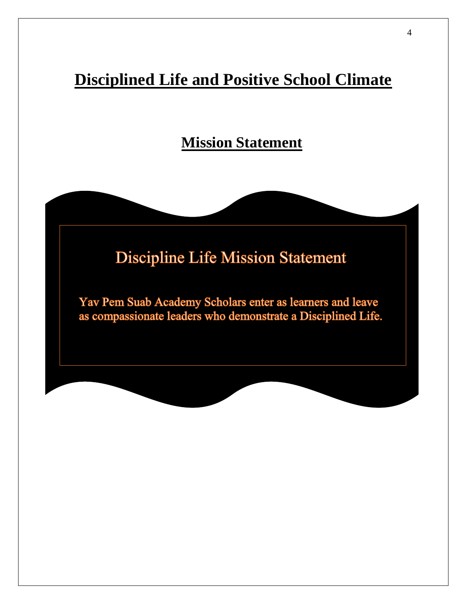## <span id="page-4-0"></span>**Disciplined Life and Positive School Climate**

**Mission Statement**

## **Discipline Life Mission Statement**

Yav Pem Suab Academy Scholars enter as learners and leave as compassionate leaders who demonstrate a Disciplined Life.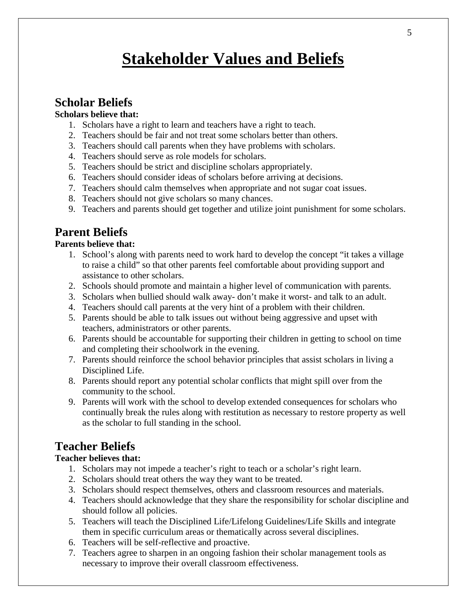## **Stakeholder Values and Beliefs**

## <span id="page-5-0"></span>**Scholar Beliefs**

### **Scholars believe that:**

- 1. Scholars have a right to learn and teachers have a right to teach.
- 2. Teachers should be fair and not treat some scholars better than others.
- 3. Teachers should call parents when they have problems with scholars.
- 4. Teachers should serve as role models for scholars.
- 5. Teachers should be strict and discipline scholars appropriately.
- 6. Teachers should consider ideas of scholars before arriving at decisions.
- 7. Teachers should calm themselves when appropriate and not sugar coat issues.
- 8. Teachers should not give scholars so many chances.
- 9. Teachers and parents should get together and utilize joint punishment for some scholars.

## **Parent Beliefs**

### **Parents believe that:**

- 1. School's along with parents need to work hard to develop the concept "it takes a village to raise a child" so that other parents feel comfortable about providing support and assistance to other scholars.
- 2. Schools should promote and maintain a higher level of communication with parents.
- 3. Scholars when bullied should walk away- don't make it worst- and talk to an adult.
- 4. Teachers should call parents at the very hint of a problem with their children.
- 5. Parents should be able to talk issues out without being aggressive and upset with teachers, administrators or other parents.
- 6. Parents should be accountable for supporting their children in getting to school on time and completing their schoolwork in the evening.
- 7. Parents should reinforce the school behavior principles that assist scholars in living a Disciplined Life.
- 8. Parents should report any potential scholar conflicts that might spill over from the community to the school.
- 9. Parents will work with the school to develop extended consequences for scholars who continually break the rules along with restitution as necessary to restore property as well as the scholar to full standing in the school.

## **Teacher Beliefs**

### **Teacher believes that:**

- 1. Scholars may not impede a teacher's right to teach or a scholar's right learn.
- 2. Scholars should treat others the way they want to be treated.
- 3. Scholars should respect themselves, others and classroom resources and materials.
- 4. Teachers should acknowledge that they share the responsibility for scholar discipline and should follow all policies.
- 5. Teachers will teach the Disciplined Life/Lifelong Guidelines/Life Skills and integrate them in specific curriculum areas or thematically across several disciplines.
- 6. Teachers will be self-reflective and proactive.
- 7. Teachers agree to sharpen in an ongoing fashion their scholar management tools as necessary to improve their overall classroom effectiveness.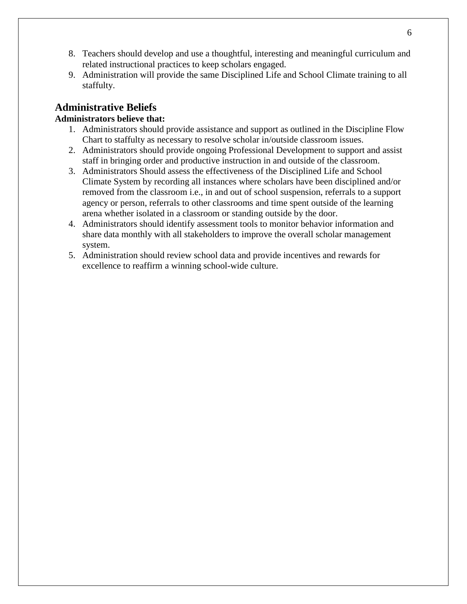- 8. Teachers should develop and use a thoughtful, interesting and meaningful curriculum and related instructional practices to keep scholars engaged.
- 9. Administration will provide the same Disciplined Life and School Climate training to all staffulty.

## **Administrative Beliefs**

### **Administrators believe that:**

- 1. Administrators should provide assistance and support as outlined in the Discipline Flow Chart to staffulty as necessary to resolve scholar in/outside classroom issues.
- 2. Administrators should provide ongoing Professional Development to support and assist staff in bringing order and productive instruction in and outside of the classroom.
- 3. Administrators Should assess the effectiveness of the Disciplined Life and School Climate System by recording all instances where scholars have been disciplined and/or removed from the classroom i.e., in and out of school suspension, referrals to a support agency or person, referrals to other classrooms and time spent outside of the learning arena whether isolated in a classroom or standing outside by the door.
- 4. Administrators should identify assessment tools to monitor behavior information and share data monthly with all stakeholders to improve the overall scholar management system.
- 5. Administration should review school data and provide incentives and rewards for excellence to reaffirm a winning school-wide culture.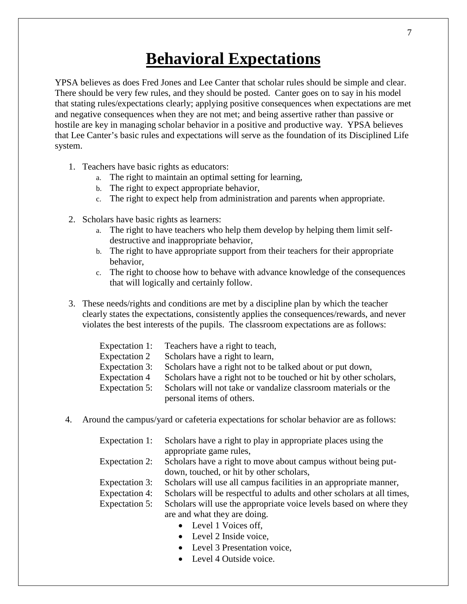## **Behavioral Expectations**

<span id="page-7-0"></span>YPSA believes as does Fred Jones and Lee Canter that scholar rules should be simple and clear. There should be very few rules, and they should be posted. Canter goes on to say in his model that stating rules/expectations clearly; applying positive consequences when expectations are met and negative consequences when they are not met; and being assertive rather than passive or hostile are key in managing scholar behavior in a positive and productive way. YPSA believes that Lee Canter's basic rules and expectations will serve as the foundation of its Disciplined Life system.

- 1. Teachers have basic rights as educators:
	- a. The right to maintain an optimal setting for learning,
	- b. The right to expect appropriate behavior,
	- c. The right to expect help from administration and parents when appropriate.
- 2. Scholars have basic rights as learners:
	- a. The right to have teachers who help them develop by helping them limit selfdestructive and inappropriate behavior,
	- b. The right to have appropriate support from their teachers for their appropriate behavior,
	- c. The right to choose how to behave with advance knowledge of the consequences that will logically and certainly follow.
- 3. These needs/rights and conditions are met by a discipline plan by which the teacher clearly states the expectations, consistently applies the consequences/rewards, and never violates the best interests of the pupils. The classroom expectations are as follows:

|                       | Expectation 1: Teachers have a right to teach,                    |
|-----------------------|-------------------------------------------------------------------|
| Expectation 2         | Scholars have a right to learn,                                   |
| <b>Expectation 3:</b> | Scholars have a right not to be talked about or put down,         |
| <b>Expectation 4</b>  | Scholars have a right not to be touched or hit by other scholars, |
| Expectation 5:        | Scholars will not take or vandalize classroom materials or the    |
|                       | personal items of others.                                         |

4. Around the campus/yard or cafeteria expectations for scholar behavior are as follows:

| Expectation 1:        | Scholars have a right to play in appropriate places using the          |
|-----------------------|------------------------------------------------------------------------|
|                       | appropriate game rules,                                                |
| Expectation 2:        | Scholars have a right to move about campus without being put-          |
|                       | down, touched, or hit by other scholars,                               |
| <b>Expectation 3:</b> | Scholars will use all campus facilities in an appropriate manner,      |
| <b>Expectation 4:</b> | Scholars will be respectful to adults and other scholars at all times, |
| <b>Expectation 5:</b> | Scholars will use the appropriate voice levels based on where they     |
|                       | are and what they are doing.                                           |

- Level 1 Voices off.
- Level 2 Inside voice,
- Level 3 Presentation voice.
- Level 4 Outside voice.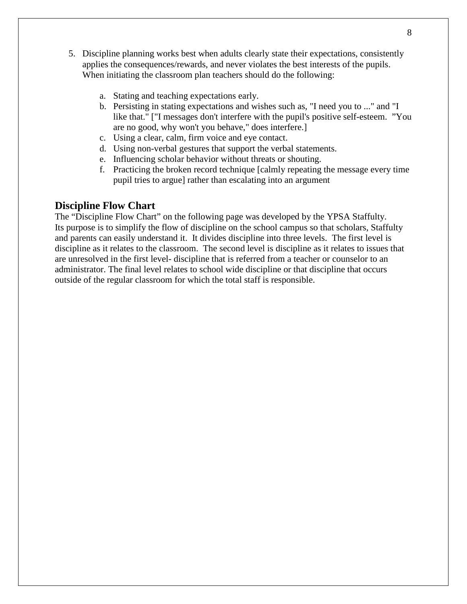- 5. Discipline planning works best when adults clearly state their expectations, consistently applies the consequences/rewards, and never violates the best interests of the pupils. When initiating the classroom plan teachers should do the following:
	- a. Stating and teaching expectations early.
	- b. Persisting in stating expectations and wishes such as, "I need you to ..." and "I like that." ["I messages don't interfere with the pupil's positive self-esteem. "You are no good, why won't you behave," does interfere.]
	- c. Using a clear, calm, firm voice and eye contact.
	- d. Using non-verbal gestures that support the verbal statements.
	- e. Influencing scholar behavior without threats or shouting.
	- f. Practicing the broken record technique [calmly repeating the message every time pupil tries to argue] rather than escalating into an argument

### **Discipline Flow Chart**

The "Discipline Flow Chart" on the following page was developed by the YPSA Staffulty. Its purpose is to simplify the flow of discipline on the school campus so that scholars, Staffulty and parents can easily understand it. It divides discipline into three levels. The first level is discipline as it relates to the classroom. The second level is discipline as it relates to issues that are unresolved in the first level- discipline that is referred from a teacher or counselor to an administrator. The final level relates to school wide discipline or that discipline that occurs outside of the regular classroom for which the total staff is responsible.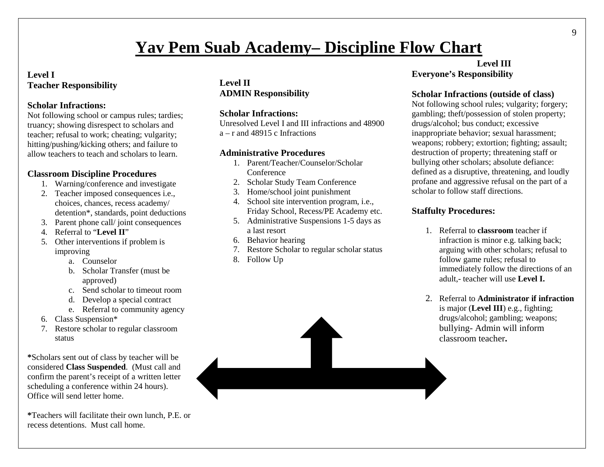## **Yav Pem Suab Academy– Discipline Flow Chart**

### **Level I Teacher Responsibility**

### **Scholar Infractions:**

Not following school or campus rules; tardies; truancy; showing disrespect to scholars and teacher; refusal to work; cheating; vulgarity; hitting/pushing/kicking others; and failure to allow teachers to teach and scholars to learn.

## **Classroom Discipline Procedures**

- 1. Warning/conference and investigate
- 2. Teacher imposed consequences i.e., choices, chances, recess academy/ detention\*, standards, point deductions
- 3. Parent phone call/ joint consequences
- 4. Referral to "**Level II**"
- 5. Other interventions if problem is improving
	- a. Counselor
	- b. Scholar Transfer (must be approved)
	- c. Send scholar to timeout room
	- d. Develop a special contract
	- e. Referral to community agency
- 6. Class Suspension\*
- 7. Restore scholar to regular classroom status

**\***Scholars sent out of class by teacher will be considered **Class Suspended**. (Must call and confirm the parent's receipt of a written letter scheduling a conference within 24 hours). Office will send letter home.

**\***Teachers will facilitate their own lunch, P.E. or recess detentions. Must call home.

## **Level II ADMIN Responsibility**

## **Scholar Infractions:**

Unresolved Level I and III infractions and 48900 a – r and 48915 c Infractions

## **Administrative Procedures**

- 1. Parent/Teacher/Counselor/Scholar **Conference**
- 2. Scholar Study Team Conference
- 3. Home/school joint punishment
- 4. School site intervention program, i.e., Friday School, Recess/PE Academy etc.
- 5. Administrative Suspensions 1-5 days as a last resort
- 6. Behavior hearing
- 7. Restore Scholar to regular scholar status
- 8. Follow Up

## **Level III Everyone's Responsibility**

## **Scholar Infractions (outside of class)**

Not following school rules; vulgarity; forgery; gambling; theft/possession of stolen property; drugs/alcohol; bus conduct; excessive inappropriate behavior; sexual harassment; weapons; robbery; extortion; fighting; assault; destruction of property; threatening staff or bullying other scholars; absolute defiance: defined as a disruptive, threatening, and loudly profane and aggressive refusal on the part of a scholar to follow staff directions.

## **Staffulty Procedures:**

- 1. Referral to **classroom** teacher if infraction is minor e.g. talking back; arguing with other scholars; refusal to follow game rules; refusal to immediately follow the directions of an adult,- teacher will use **Level I.**
- 2. Referral to **Administrator if infraction**  is major (**Level III**) e.g., fighting; drugs/alcohol; gambling; weapons; bullying- Admin will inform classroom teacher**.**

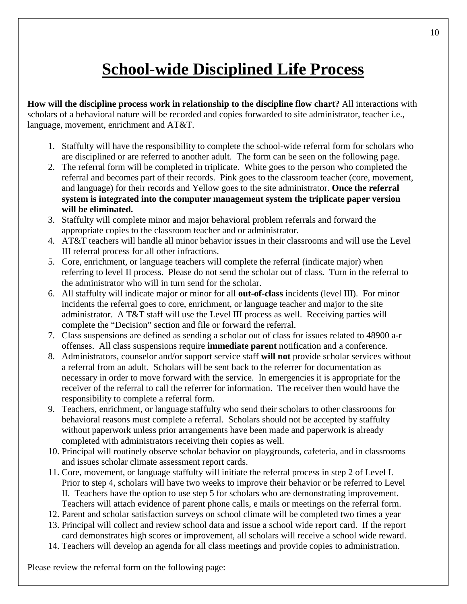## **School-wide Disciplined Life Process**

<span id="page-10-0"></span>**How will the discipline process work in relationship to the discipline flow chart?** All interactions with scholars of a behavioral nature will be recorded and copies forwarded to site administrator, teacher i.e., language, movement, enrichment and AT&T.

- 1. Staffulty will have the responsibility to complete the school-wide referral form for scholars who are disciplined or are referred to another adult. The form can be seen on the following page.
- 2. The referral form will be completed in triplicate. White goes to the person who completed the referral and becomes part of their records. Pink goes to the classroom teacher (core, movement, and language) for their records and Yellow goes to the site administrator. **Once the referral system is integrated into the computer management system the triplicate paper version will be eliminated.**
- 3. Staffulty will complete minor and major behavioral problem referrals and forward the appropriate copies to the classroom teacher and or administrator.
- 4. AT&T teachers will handle all minor behavior issues in their classrooms and will use the Level III referral process for all other infractions.
- 5. Core, enrichment, or language teachers will complete the referral (indicate major) when referring to level II process. Please do not send the scholar out of class. Turn in the referral to the administrator who will in turn send for the scholar.
- 6. All staffulty will indicate major or minor for all **out-of-class** incidents (level III). For minor incidents the referral goes to core, enrichment, or language teacher and major to the site administrator. A T&T staff will use the Level III process as well. Receiving parties will complete the "Decision" section and file or forward the referral.
- 7. Class suspensions are defined as sending a scholar out of class for issues related to 48900 a-r offenses. All class suspensions require **immediate parent** notification and a conference.
- 8. Administrators, counselor and/or support service staff **will not** provide scholar services without a referral from an adult. Scholars will be sent back to the referrer for documentation as necessary in order to move forward with the service. In emergencies it is appropriate for the receiver of the referral to call the referrer for information. The receiver then would have the responsibility to complete a referral form.
- 9. Teachers, enrichment, or language staffulty who send their scholars to other classrooms for behavioral reasons must complete a referral. Scholars should not be accepted by staffulty without paperwork unless prior arrangements have been made and paperwork is already completed with administrators receiving their copies as well.
- 10. Principal will routinely observe scholar behavior on playgrounds, cafeteria, and in classrooms and issues scholar climate assessment report cards.
- 11. Core, movement, or language staffulty will initiate the referral process in step 2 of Level I. Prior to step 4, scholars will have two weeks to improve their behavior or be referred to Level II. Teachers have the option to use step 5 for scholars who are demonstrating improvement. Teachers will attach evidence of parent phone calls, e mails or meetings on the referral form.
- 12. Parent and scholar satisfaction surveys on school climate will be completed two times a year
- 13. Principal will collect and review school data and issue a school wide report card. If the report card demonstrates high scores or improvement, all scholars will receive a school wide reward.
- 14. Teachers will develop an agenda for all class meetings and provide copies to administration.

Please review the referral form on the following page: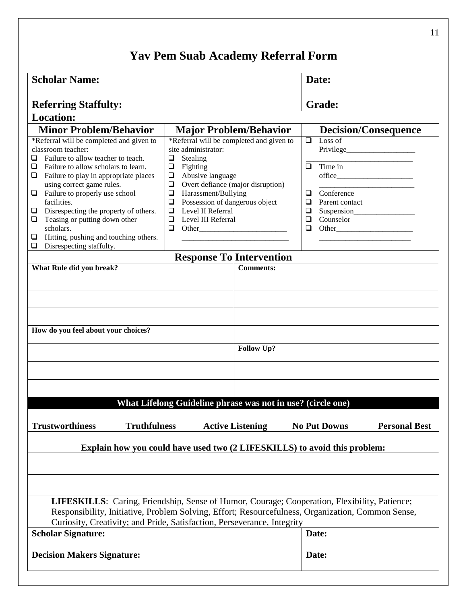## **Yav Pem Suab Academy Referral Form**

| <b>Scholar Name:</b>                                                                                                                                                                                                                                                                                                                                                                                               |                                                                                                                                                                                                                                                                                                                                           | Date:                                                                                                                                                                                                             |  |
|--------------------------------------------------------------------------------------------------------------------------------------------------------------------------------------------------------------------------------------------------------------------------------------------------------------------------------------------------------------------------------------------------------------------|-------------------------------------------------------------------------------------------------------------------------------------------------------------------------------------------------------------------------------------------------------------------------------------------------------------------------------------------|-------------------------------------------------------------------------------------------------------------------------------------------------------------------------------------------------------------------|--|
| <b>Referring Staffulty:</b>                                                                                                                                                                                                                                                                                                                                                                                        |                                                                                                                                                                                                                                                                                                                                           | <b>Grade:</b>                                                                                                                                                                                                     |  |
| <b>Location:</b>                                                                                                                                                                                                                                                                                                                                                                                                   |                                                                                                                                                                                                                                                                                                                                           |                                                                                                                                                                                                                   |  |
| <b>Minor Problem/Behavior</b>                                                                                                                                                                                                                                                                                                                                                                                      | <b>Major Problem/Behavior</b>                                                                                                                                                                                                                                                                                                             | <b>Decision/Consequence</b>                                                                                                                                                                                       |  |
| *Referral will be completed and given to<br>classroom teacher:<br>Failure to allow teacher to teach.<br>Failure to allow scholars to learn.<br>Failure to play in appropriate places<br>u.<br>using correct game rules.<br>Failure to properly use school<br>❏<br>facilities.<br>Disrespecting the property of others.<br>Teasing or putting down other<br>u<br>scholars.<br>Hitting, pushing and touching others. | *Referral will be completed and given to<br>site administrator:<br>Stealing<br>❏<br>Fighting<br>$\Box$<br>Abusive language<br>$\Box$<br>Overt defiance (major disruption)<br>$\Box$<br>Harassment/Bullying<br>$\Box$<br>Possession of dangerous object<br>$\Box$<br>Level II Referral<br>$\Box$<br>Level III Referral<br>$\Box$<br>$\Box$ | $\Box$<br>Loss of<br>Time in<br>$\Box$<br>Conference<br>❏<br>$\Box$<br>Parent contact<br>$\Box$<br>Counselor<br>$\Box$<br>$\Box$                                                                                  |  |
| Disrespecting staffulty.<br>⊔                                                                                                                                                                                                                                                                                                                                                                                      |                                                                                                                                                                                                                                                                                                                                           |                                                                                                                                                                                                                   |  |
| What Rule did you break?                                                                                                                                                                                                                                                                                                                                                                                           | <b>Response To Intervention</b><br><b>Comments:</b>                                                                                                                                                                                                                                                                                       |                                                                                                                                                                                                                   |  |
| How do you feel about your choices?                                                                                                                                                                                                                                                                                                                                                                                | <b>Follow Up?</b><br>What Lifelong Guideline phrase was not in use? (circle one)                                                                                                                                                                                                                                                          |                                                                                                                                                                                                                   |  |
| <b>Trustworthiness</b><br><b>Truthfulness</b>                                                                                                                                                                                                                                                                                                                                                                      | <b>Active Listening</b>                                                                                                                                                                                                                                                                                                                   | <b>Personal Best</b><br><b>No Put Downs</b>                                                                                                                                                                       |  |
| Explain how you could have used two (2 LIFESKILLS) to avoid this problem:                                                                                                                                                                                                                                                                                                                                          |                                                                                                                                                                                                                                                                                                                                           |                                                                                                                                                                                                                   |  |
| <b>Scholar Signature:</b>                                                                                                                                                                                                                                                                                                                                                                                          | Curiosity, Creativity; and Pride, Satisfaction, Perseverance, Integrity                                                                                                                                                                                                                                                                   | <b>LIFESKILLS:</b> Caring, Friendship, Sense of Humor, Courage; Cooperation, Flexibility, Patience;<br>Responsibility, Initiative, Problem Solving, Effort; Resourcefulness, Organization, Common Sense,<br>Date: |  |
| <b>Decision Makers Signature:</b>                                                                                                                                                                                                                                                                                                                                                                                  |                                                                                                                                                                                                                                                                                                                                           | Date:                                                                                                                                                                                                             |  |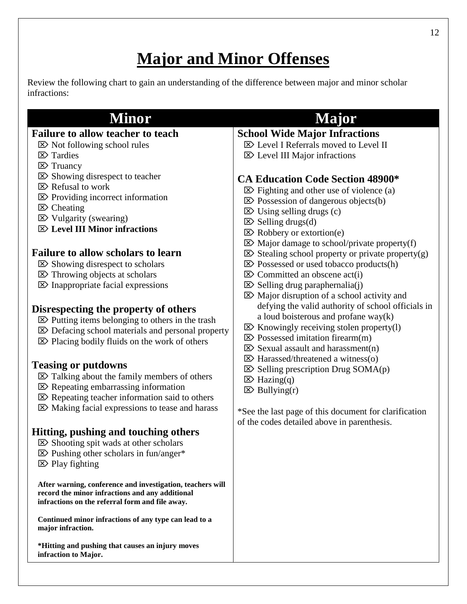## **Major and Minor Offenses**

<span id="page-12-0"></span>Review the following chart to gain an understanding of the difference between major and minor scholar infractions:

#### **Minor Major Failure to allow teacher to teach**  $\boxtimes$  Not following school rules  $\triangleright$  Tardies  $\triangleright$  Truancy  $\triangleright$  Showing disrespect to teacher  $\boxtimes$  Refusal to work  $\boxtimes$  Providing incorrect information  $\triangleright$  Cheating  $\boxtimes$  Vulgarity (swearing) **Level III Minor infractions Failure to allow scholars to learn**  $\boxtimes$  Showing disrespect to scholars  $\triangleright$  Throwing objects at scholars  $\boxtimes$  Inappropriate facial expressions **Disrespecting the property of others**  $\triangleright$  Putting items belonging to others in the trash Defacing school materials and personal property  $\triangleright$  Placing bodily fluids on the work of others **Teasing or putdowns**  $\triangleright$  Talking about the family members of others  $\mathbb{Z}$  Repeating embarrassing information  $\triangleright$  Repeating teacher information said to others  $\boxtimes$  Making facial expressions to tease and harass **Hitting, pushing and touching others**  $\boxtimes$  Shooting spit wads at other scholars  $\triangleright$  Pushing other scholars in fun/anger\*  $\triangleright$  Play fighting **After warning, conference and investigation, teachers will record the minor infractions and any additional infractions on the referral form and file away. Continued minor infractions of any type can lead to a major infraction. \*Hitting and pushing that causes an injury moves infraction to Major. School Wide Major Infractions**  $\boxtimes$  Level I Referrals moved to Level II Level III Major infractions **CA Education Code Section 48900\***  $\triangleright$  Fighting and other use of violence (a)  $\triangleright$  Possession of dangerous objects(b)  $\boxtimes$  Using selling drugs (c)  $\boxtimes$  Selling drugs(d)  $\boxtimes$  Robbery or extortion(e)  $\boxtimes$  Major damage to school/private property(f)  $\boxtimes$  Stealing school property or private property(g)  $\triangleright$  Possessed or used tobacco products(h)  $\mathbb{Z}$  Committed an obscene act(i)  $\boxtimes$  Selling drug paraphernalia(j)  $\boxtimes$  Major disruption of a school activity and defying the valid authority of school officials in a loud boisterous and profane way(k)  $\boxtimes$  Knowingly receiving stolen property(1)  $\triangleright$  Possessed imitation firearm(m)  $\triangleright$  Sexual assault and harassment(n)  $\triangleright$  Harassed/threatened a witness(o)  $\boxtimes$  Selling prescription Drug SOMA(p)  $\boxtimes$  Hazing(q)  $\boxtimes$  Bullying(r) \*See the last page of this document for clarification of the codes detailed above in parenthesis.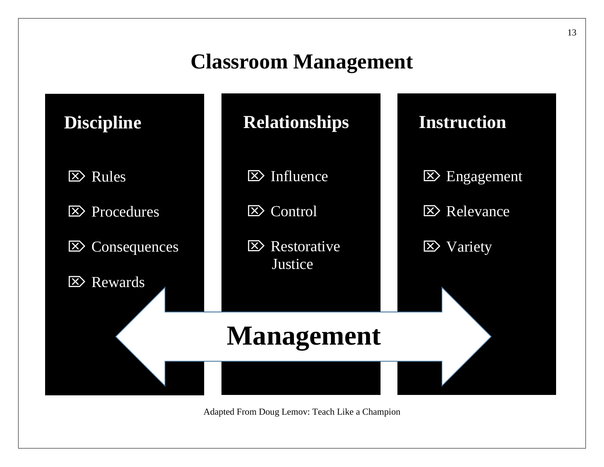# **Classroom Management**



Adapted From Doug Lemov: Teach Like a Champion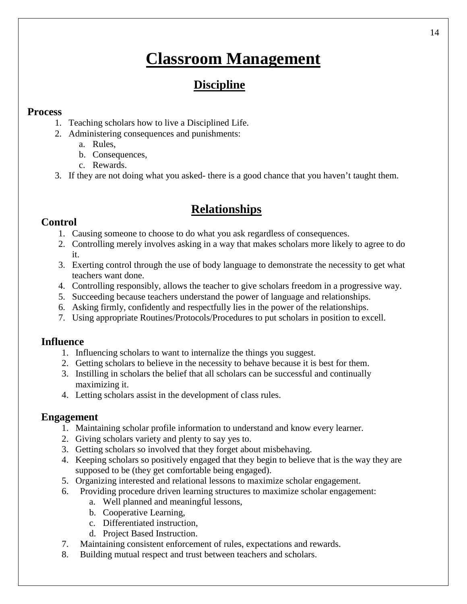## **Classroom Management**

## **Discipline**

## <span id="page-14-0"></span>**Process**

- 1. Teaching scholars how to live a Disciplined Life.
- 2. Administering consequences and punishments:
	- a. Rules,
	- b. Consequences,
	- c. Rewards.
- 3. If they are not doing what you asked- there is a good chance that you haven't taught them.

## **Relationships**

## **Control**

- 1. Causing someone to choose to do what you ask regardless of consequences.
- 2. Controlling merely involves asking in a way that makes scholars more likely to agree to do it.
- 3. Exerting control through the use of body language to demonstrate the necessity to get what teachers want done.
- 4. Controlling responsibly, allows the teacher to give scholars freedom in a progressive way.
- 5. Succeeding because teachers understand the power of language and relationships.
- 6. Asking firmly, confidently and respectfully lies in the power of the relationships.
- 7. Using appropriate Routines/Protocols/Procedures to put scholars in position to excell.

## **Influence**

- 1. Influencing scholars to want to internalize the things you suggest.
- 2. Getting scholars to believe in the necessity to behave because it is best for them.
- 3. Instilling in scholars the belief that all scholars can be successful and continually maximizing it.
- 4. Letting scholars assist in the development of class rules.

## **Engagement**

- 1. Maintaining scholar profile information to understand and know every learner.
- 2. Giving scholars variety and plenty to say yes to.
- 3. Getting scholars so involved that they forget about misbehaving.
- 4. Keeping scholars so positively engaged that they begin to believe that is the way they are supposed to be (they get comfortable being engaged).
- 5. Organizing interested and relational lessons to maximize scholar engagement.
- 6. Providing procedure driven learning structures to maximize scholar engagement:
	- a. Well planned and meaningful lessons,
	- b. Cooperative Learning,
	- c. Differentiated instruction,
	- d. Project Based Instruction.
- 7. Maintaining consistent enforcement of rules, expectations and rewards.
- 8. Building mutual respect and trust between teachers and scholars.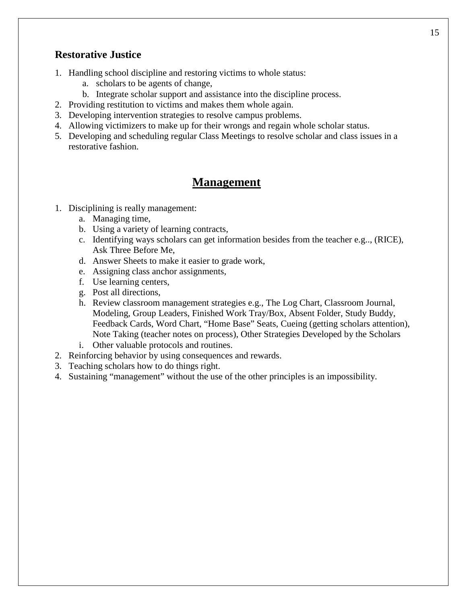## **Restorative Justice**

- 1. Handling school discipline and restoring victims to whole status:
	- a. scholars to be agents of change,
	- b. Integrate scholar support and assistance into the discipline process.
- 2. Providing restitution to victims and makes them whole again.
- 3. Developing intervention strategies to resolve campus problems.
- 4. Allowing victimizers to make up for their wrongs and regain whole scholar status.
- 5. Developing and scheduling regular Class Meetings to resolve scholar and class issues in a restorative fashion.

## **Management**

- 1. Disciplining is really management:
	- a. Managing time,
	- b. Using a variety of learning contracts,
	- c. Identifying ways scholars can get information besides from the teacher e.g.., (RICE), Ask Three Before Me,
	- d. Answer Sheets to make it easier to grade work,
	- e. Assigning class anchor assignments,
	- f. Use learning centers,
	- g. Post all directions,
	- h. Review classroom management strategies e.g., The Log Chart, Classroom Journal, Modeling, Group Leaders, Finished Work Tray/Box, Absent Folder, Study Buddy, Feedback Cards, Word Chart, "Home Base" Seats, Cueing (getting scholars attention), Note Taking (teacher notes on process), Other Strategies Developed by the Scholars
	- i. Other valuable protocols and routines.
- 2. Reinforcing behavior by using consequences and rewards.
- 3. Teaching scholars how to do things right.
- 4. Sustaining "management" without the use of the other principles is an impossibility.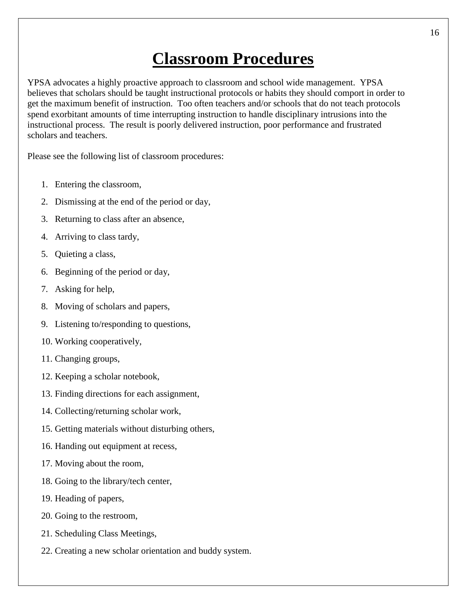## **Classroom Procedures**

<span id="page-16-0"></span>YPSA advocates a highly proactive approach to classroom and school wide management. YPSA believes that scholars should be taught instructional protocols or habits they should comport in order to get the maximum benefit of instruction. Too often teachers and/or schools that do not teach protocols spend exorbitant amounts of time interrupting instruction to handle disciplinary intrusions into the instructional process. The result is poorly delivered instruction, poor performance and frustrated scholars and teachers.

Please see the following list of classroom procedures:

- 1. Entering the classroom,
- 2. Dismissing at the end of the period or day,
- 3. Returning to class after an absence,
- 4. Arriving to class tardy,
- 5. Quieting a class,
- 6. Beginning of the period or day,
- 7. Asking for help,
- 8. Moving of scholars and papers,
- 9. Listening to/responding to questions,
- 10. Working cooperatively,
- 11. Changing groups,
- 12. Keeping a scholar notebook,
- 13. Finding directions for each assignment,
- 14. Collecting/returning scholar work,
- 15. Getting materials without disturbing others,
- 16. Handing out equipment at recess,
- 17. Moving about the room,
- 18. Going to the library/tech center,
- 19. Heading of papers,
- 20. Going to the restroom,
- 21. Scheduling Class Meetings,
- 22. Creating a new scholar orientation and buddy system.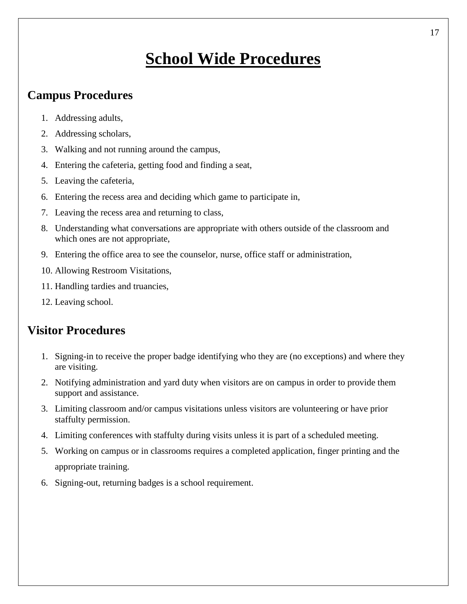## **School Wide Procedures**

## <span id="page-17-0"></span>**Campus Procedures**

- 1. Addressing adults,
- 2. Addressing scholars,
- 3. Walking and not running around the campus,
- 4. Entering the cafeteria, getting food and finding a seat,
- 5. Leaving the cafeteria,
- 6. Entering the recess area and deciding which game to participate in,
- 7. Leaving the recess area and returning to class,
- 8. Understanding what conversations are appropriate with others outside of the classroom and which ones are not appropriate,
- 9. Entering the office area to see the counselor, nurse, office staff or administration,
- 10. Allowing Restroom Visitations,
- 11. Handling tardies and truancies,
- 12. Leaving school.

## **Visitor Procedures**

- 1. Signing-in to receive the proper badge identifying who they are (no exceptions) and where they are visiting.
- 2. Notifying administration and yard duty when visitors are on campus in order to provide them support and assistance.
- 3. Limiting classroom and/or campus visitations unless visitors are volunteering or have prior staffulty permission.
- 4. Limiting conferences with staffulty during visits unless it is part of a scheduled meeting.
- 5. Working on campus or in classrooms requires a completed application, finger printing and the appropriate training.
- 6. Signing-out, returning badges is a school requirement.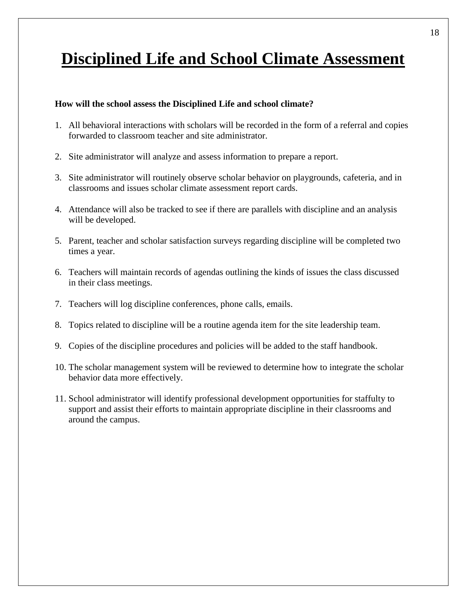## <span id="page-18-0"></span>**Disciplined Life and School Climate Assessment**

#### **How will the school assess the Disciplined Life and school climate?**

- 1. All behavioral interactions with scholars will be recorded in the form of a referral and copies forwarded to classroom teacher and site administrator.
- 2. Site administrator will analyze and assess information to prepare a report.
- 3. Site administrator will routinely observe scholar behavior on playgrounds, cafeteria, and in classrooms and issues scholar climate assessment report cards.
- 4. Attendance will also be tracked to see if there are parallels with discipline and an analysis will be developed.
- 5. Parent, teacher and scholar satisfaction surveys regarding discipline will be completed two times a year.
- 6. Teachers will maintain records of agendas outlining the kinds of issues the class discussed in their class meetings.
- 7. Teachers will log discipline conferences, phone calls, emails.
- 8. Topics related to discipline will be a routine agenda item for the site leadership team.
- 9. Copies of the discipline procedures and policies will be added to the staff handbook.
- 10. The scholar management system will be reviewed to determine how to integrate the scholar behavior data more effectively.
- 11. School administrator will identify professional development opportunities for staffulty to support and assist their efforts to maintain appropriate discipline in their classrooms and around the campus.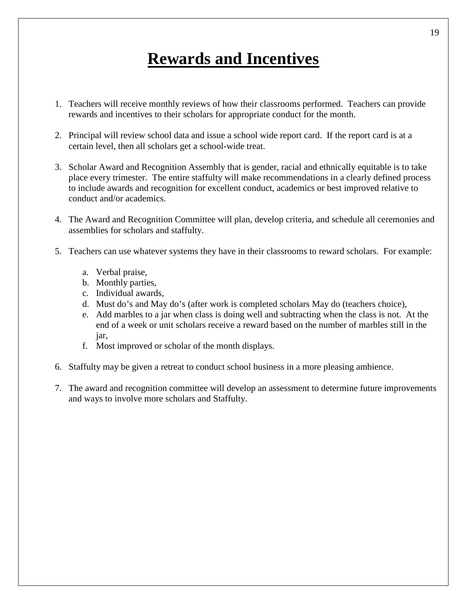## **Rewards and Incentives**

- <span id="page-19-0"></span>1. Teachers will receive monthly reviews of how their classrooms performed. Teachers can provide rewards and incentives to their scholars for appropriate conduct for the month.
- 2. Principal will review school data and issue a school wide report card. If the report card is at a certain level, then all scholars get a school-wide treat.
- 3. Scholar Award and Recognition Assembly that is gender, racial and ethnically equitable is to take place every trimester. The entire staffulty will make recommendations in a clearly defined process to include awards and recognition for excellent conduct, academics or best improved relative to conduct and/or academics.
- 4. The Award and Recognition Committee will plan, develop criteria, and schedule all ceremonies and assemblies for scholars and staffulty.
- 5. Teachers can use whatever systems they have in their classrooms to reward scholars. For example:
	- a. Verbal praise,
	- b. Monthly parties,
	- c. Individual awards,
	- d. Must do's and May do's (after work is completed scholars May do (teachers choice),
	- e. Add marbles to a jar when class is doing well and subtracting when the class is not. At the end of a week or unit scholars receive a reward based on the number of marbles still in the jar,
	- f. Most improved or scholar of the month displays.
- 6. Staffulty may be given a retreat to conduct school business in a more pleasing ambience.
- 7. The award and recognition committee will develop an assessment to determine future improvements and ways to involve more scholars and Staffulty.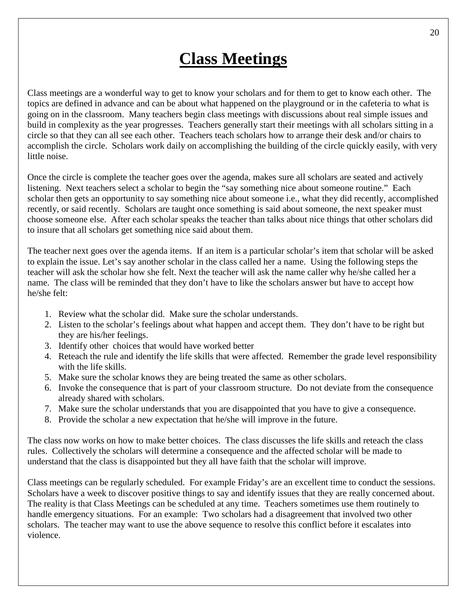## **Class Meetings**

<span id="page-20-0"></span>Class meetings are a wonderful way to get to know your scholars and for them to get to know each other. The topics are defined in advance and can be about what happened on the playground or in the cafeteria to what is going on in the classroom. Many teachers begin class meetings with discussions about real simple issues and build in complexity as the year progresses. Teachers generally start their meetings with all scholars sitting in a circle so that they can all see each other. Teachers teach scholars how to arrange their desk and/or chairs to accomplish the circle. Scholars work daily on accomplishing the building of the circle quickly easily, with very little noise.

Once the circle is complete the teacher goes over the agenda, makes sure all scholars are seated and actively listening. Next teachers select a scholar to begin the "say something nice about someone routine." Each scholar then gets an opportunity to say something nice about someone i.e., what they did recently, accomplished recently, or said recently. Scholars are taught once something is said about someone, the next speaker must choose someone else. After each scholar speaks the teacher than talks about nice things that other scholars did to insure that all scholars get something nice said about them.

The teacher next goes over the agenda items. If an item is a particular scholar's item that scholar will be asked to explain the issue. Let's say another scholar in the class called her a name. Using the following steps the teacher will ask the scholar how she felt. Next the teacher will ask the name caller why he/she called her a name. The class will be reminded that they don't have to like the scholars answer but have to accept how he/she felt:

- 1. Review what the scholar did. Make sure the scholar understands.
- 2. Listen to the scholar's feelings about what happen and accept them. They don't have to be right but they are his/her feelings.
- 3. Identify other choices that would have worked better
- 4. Reteach the rule and identify the life skills that were affected. Remember the grade level responsibility with the life skills.
- 5. Make sure the scholar knows they are being treated the same as other scholars.
- 6. Invoke the consequence that is part of your classroom structure. Do not deviate from the consequence already shared with scholars.
- 7. Make sure the scholar understands that you are disappointed that you have to give a consequence.
- 8. Provide the scholar a new expectation that he/she will improve in the future.

The class now works on how to make better choices. The class discusses the life skills and reteach the class rules. Collectively the scholars will determine a consequence and the affected scholar will be made to understand that the class is disappointed but they all have faith that the scholar will improve.

Class meetings can be regularly scheduled. For example Friday's are an excellent time to conduct the sessions. Scholars have a week to discover positive things to say and identify issues that they are really concerned about. The reality is that Class Meetings can be scheduled at any time. Teachers sometimes use them routinely to handle emergency situations. For an example: Two scholars had a disagreement that involved two other scholars. The teacher may want to use the above sequence to resolve this conflict before it escalates into violence.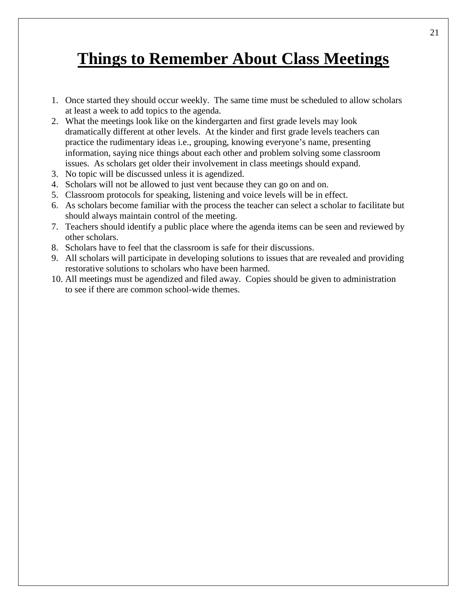## <span id="page-21-0"></span>**Things to Remember About Class Meetings**

- 1. Once started they should occur weekly. The same time must be scheduled to allow scholars at least a week to add topics to the agenda.
- 2. What the meetings look like on the kindergarten and first grade levels may look dramatically different at other levels. At the kinder and first grade levels teachers can practice the rudimentary ideas i.e., grouping, knowing everyone's name, presenting information, saying nice things about each other and problem solving some classroom issues. As scholars get older their involvement in class meetings should expand.
- 3. No topic will be discussed unless it is agendized.
- 4. Scholars will not be allowed to just vent because they can go on and on.
- 5. Classroom protocols for speaking, listening and voice levels will be in effect.
- 6. As scholars become familiar with the process the teacher can select a scholar to facilitate but should always maintain control of the meeting.
- 7. Teachers should identify a public place where the agenda items can be seen and reviewed by other scholars.
- 8. Scholars have to feel that the classroom is safe for their discussions.
- 9. All scholars will participate in developing solutions to issues that are revealed and providing restorative solutions to scholars who have been harmed.
- 10. All meetings must be agendized and filed away. Copies should be given to administration to see if there are common school-wide themes.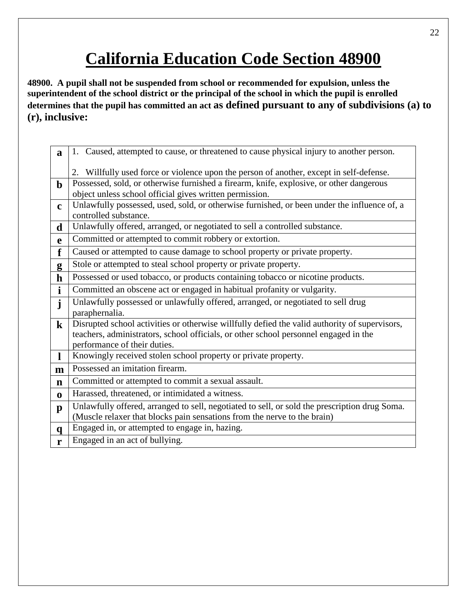## **California Education Code Section 48900**

<span id="page-22-0"></span>**48900. A pupil shall not be suspended from school or recommended for expulsion, unless the superintendent of the school district or the principal of the school in which the pupil is enrolled determines that the pupil has committed an act as defined pursuant to any of subdivisions (a) to (r), inclusive:**

| a            | 1. Caused, attempted to cause, or threatened to cause physical injury to another person.      |
|--------------|-----------------------------------------------------------------------------------------------|
|              |                                                                                               |
|              | Willfully used force or violence upon the person of another, except in self-defense.          |
| $\mathbf b$  | Possessed, sold, or otherwise furnished a firearm, knife, explosive, or other dangerous       |
|              | object unless school official gives written permission.                                       |
| $\mathbf c$  | Unlawfully possessed, used, sold, or otherwise furnished, or been under the influence of, a   |
|              | controlled substance.                                                                         |
| d            | Unlawfully offered, arranged, or negotiated to sell a controlled substance.                   |
| $\mathbf{e}$ | Committed or attempted to commit robbery or extortion.                                        |
| f            | Caused or attempted to cause damage to school property or private property.                   |
| g            | Stole or attempted to steal school property or private property.                              |
| $\mathbf h$  | Possessed or used tobacco, or products containing tobacco or nicotine products.               |
| $\mathbf{i}$ | Committed an obscene act or engaged in habitual profanity or vulgarity.                       |
| $\mathbf{j}$ | Unlawfully possessed or unlawfully offered, arranged, or negotiated to sell drug              |
|              | paraphernalia.                                                                                |
| $\bf k$      | Disrupted school activities or otherwise willfully defied the valid authority of supervisors, |
|              | teachers, administrators, school officials, or other school personnel engaged in the          |
|              | performance of their duties.                                                                  |
| $\mathbf{l}$ | Knowingly received stolen school property or private property.                                |
| $\mathbf{m}$ | Possessed an imitation firearm.                                                               |
| $\mathbf n$  |                                                                                               |
|              | Committed or attempted to commit a sexual assault.                                            |
| $\bf{0}$     | Harassed, threatened, or intimidated a witness.                                               |
|              | Unlawfully offered, arranged to sell, negotiated to sell, or sold the prescription drug Soma. |
| $\mathbf{p}$ | (Muscle relaxer that blocks pain sensations from the nerve to the brain)                      |
| $\mathbf{q}$ | Engaged in, or attempted to engage in, hazing.                                                |
| r            | Engaged in an act of bullying.                                                                |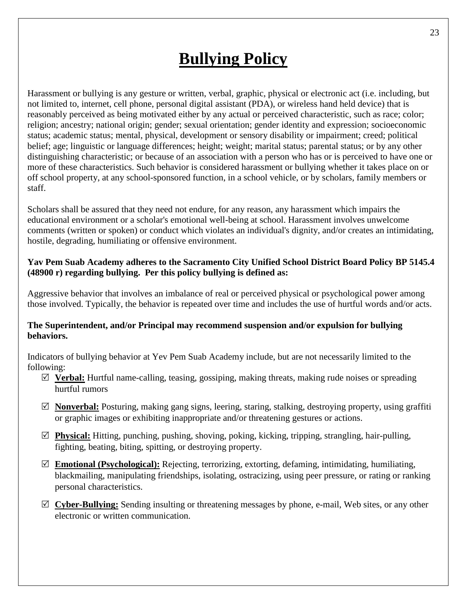## **Bullying Policy**

<span id="page-23-0"></span>Harassment or bullying is any gesture or written, verbal, graphic, physical or electronic act (i.e. including, but not limited to, internet, cell phone, personal digital assistant (PDA), or wireless hand held device) that is reasonably perceived as being motivated either by any actual or perceived characteristic, such as race; color; religion; ancestry; national origin; gender; sexual orientation; gender identity and expression; socioeconomic status; academic status; mental, physical, development or sensory disability or impairment; creed; political belief; age; linguistic or language differences; height; weight; marital status; parental status; or by any other distinguishing characteristic; or because of an association with a person who has or is perceived to have one or more of these characteristics. Such behavior is considered harassment or bullying whether it takes place on or off school property, at any school-sponsored function, in a school vehicle, or by scholars, family members or staff.

Scholars shall be assured that they need not endure, for any reason, any harassment which impairs the educational environment or a scholar's emotional well-being at school. Harassment involves unwelcome comments (written or spoken) or conduct which violates an individual's dignity, and/or creates an intimidating, hostile, degrading, humiliating or offensive environment.

### **Yav Pem Suab Academy adheres to the Sacramento City Unified School District Board Policy BP 5145.4 (48900 r) regarding bullying. Per this policy bullying is defined as:**

Aggressive behavior that involves an imbalance of real or perceived physical or psychological power among those involved. Typically, the behavior is repeated over time and includes the use of hurtful words and/or acts.

### **The Superintendent, and/or Principal may recommend suspension and/or expulsion for bullying behaviors.**

Indicators of bullying behavior at Yev Pem Suab Academy include, but are not necessarily limited to the following:

- **Verbal:** Hurtful name-calling, teasing, gossiping, making threats, making rude noises or spreading hurtful rumors
- **Nonverbal:** Posturing, making gang signs, leering, staring, stalking, destroying property, using graffiti or graphic images or exhibiting inappropriate and/or threatening gestures or actions.
- **Physical:** Hitting, punching, pushing, shoving, poking, kicking, tripping, strangling, hair-pulling, fighting, beating, biting, spitting, or destroying property.
- **Emotional (Psychological):** Rejecting, terrorizing, extorting, defaming, intimidating, humiliating, blackmailing, manipulating friendships, isolating, ostracizing, using peer pressure, or rating or ranking personal characteristics.
- **Cyber-Bullying:** Sending insulting or threatening messages by phone, e-mail, Web sites, or any other electronic or written communication.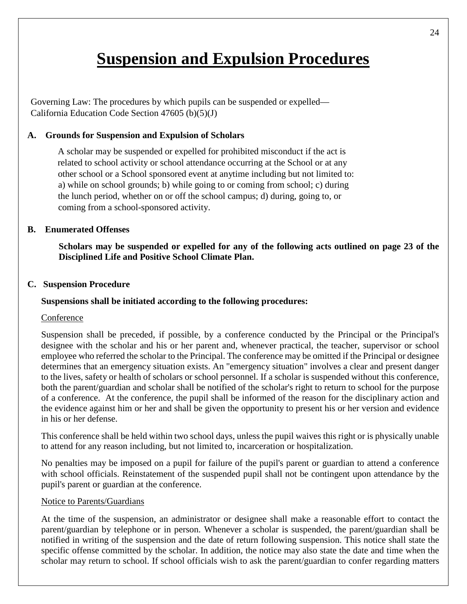## **Suspension and Expulsion Procedures**

<span id="page-24-0"></span>Governing Law: The procedures by which pupils can be suspended or expelled— California Education Code Section 47605 (b)(5)(J)

### **A. Grounds for Suspension and Expulsion of Scholars**

A scholar may be suspended or expelled for prohibited misconduct if the act is related to school activity or school attendance occurring at the School or at any other school or a School sponsored event at anytime including but not limited to: a) while on school grounds; b) while going to or coming from school; c) during the lunch period, whether on or off the school campus; d) during, going to, or coming from a school-sponsored activity.

#### **B. Enumerated Offenses**

**Scholars may be suspended or expelled for any of the following acts outlined on page 23 of the Disciplined Life and Positive School Climate Plan.**

#### **C. Suspension Procedure**

### **Suspensions shall be initiated according to the following procedures:**

#### **Conference**

Suspension shall be preceded, if possible, by a conference conducted by the Principal or the Principal's designee with the scholar and his or her parent and, whenever practical, the teacher, supervisor or school employee who referred the scholar to the Principal. The conference may be omitted if the Principal or designee determines that an emergency situation exists. An "emergency situation" involves a clear and present danger to the lives, safety or health of scholars or school personnel. If a scholar is suspended without this conference, both the parent/guardian and scholar shall be notified of the scholar's right to return to school for the purpose of a conference. At the conference, the pupil shall be informed of the reason for the disciplinary action and the evidence against him or her and shall be given the opportunity to present his or her version and evidence in his or her defense.

This conference shall be held within two school days, unless the pupil waives this right or is physically unable to attend for any reason including, but not limited to, incarceration or hospitalization.

No penalties may be imposed on a pupil for failure of the pupil's parent or guardian to attend a conference with school officials. Reinstatement of the suspended pupil shall not be contingent upon attendance by the pupil's parent or guardian at the conference.

### Notice to Parents/Guardians

At the time of the suspension, an administrator or designee shall make a reasonable effort to contact the parent/guardian by telephone or in person. Whenever a scholar is suspended, the parent/guardian shall be notified in writing of the suspension and the date of return following suspension. This notice shall state the specific offense committed by the scholar. In addition, the notice may also state the date and time when the scholar may return to school. If school officials wish to ask the parent/guardian to confer regarding matters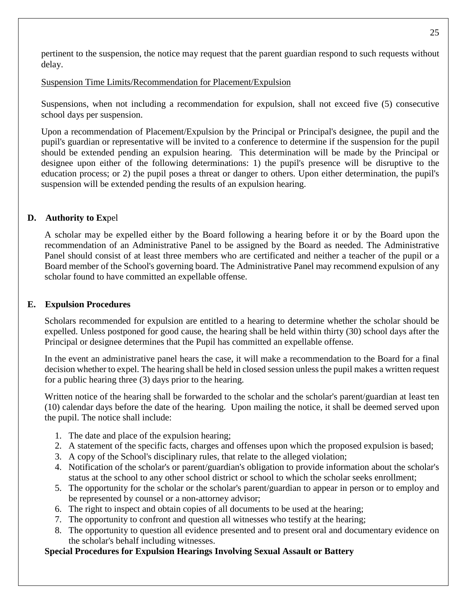pertinent to the suspension, the notice may request that the parent guardian respond to such requests without delay.

Suspension Time Limits/Recommendation for Placement/Expulsion

Suspensions, when not including a recommendation for expulsion, shall not exceed five (5) consecutive school days per suspension.

Upon a recommendation of Placement/Expulsion by the Principal or Principal's designee, the pupil and the pupil's guardian or representative will be invited to a conference to determine if the suspension for the pupil should be extended pending an expulsion hearing. This determination will be made by the Principal or designee upon either of the following determinations: 1) the pupil's presence will be disruptive to the education process; or 2) the pupil poses a threat or danger to others. Upon either determination, the pupil's suspension will be extended pending the results of an expulsion hearing.

### **D. Authority to Ex**pel

A scholar may be expelled either by the Board following a hearing before it or by the Board upon the recommendation of an Administrative Panel to be assigned by the Board as needed. The Administrative Panel should consist of at least three members who are certificated and neither a teacher of the pupil or a Board member of the School's governing board. The Administrative Panel may recommend expulsion of any scholar found to have committed an expellable offense.

### **E. Expulsion Procedures**

Scholars recommended for expulsion are entitled to a hearing to determine whether the scholar should be expelled. Unless postponed for good cause, the hearing shall be held within thirty (30) school days after the Principal or designee determines that the Pupil has committed an expellable offense.

In the event an administrative panel hears the case, it will make a recommendation to the Board for a final decision whether to expel. The hearing shall be held in closed session unless the pupil makes a written request for a public hearing three (3) days prior to the hearing.

Written notice of the hearing shall be forwarded to the scholar and the scholar's parent/guardian at least ten (10) calendar days before the date of the hearing. Upon mailing the notice, it shall be deemed served upon the pupil. The notice shall include:

- 1. The date and place of the expulsion hearing;
- 2. A statement of the specific facts, charges and offenses upon which the proposed expulsion is based;
- 3. A copy of the School's disciplinary rules, that relate to the alleged violation;
- 4. Notification of the scholar's or parent/guardian's obligation to provide information about the scholar's status at the school to any other school district or school to which the scholar seeks enrollment;
- 5. The opportunity for the scholar or the scholar's parent/guardian to appear in person or to employ and be represented by counsel or a non-attorney advisor;
- 6. The right to inspect and obtain copies of all documents to be used at the hearing;
- 7. The opportunity to confront and question all witnesses who testify at the hearing;
- 8. The opportunity to question all evidence presented and to present oral and documentary evidence on the scholar's behalf including witnesses.

## **Special Procedures for Expulsion Hearings Involving Sexual Assault or Battery**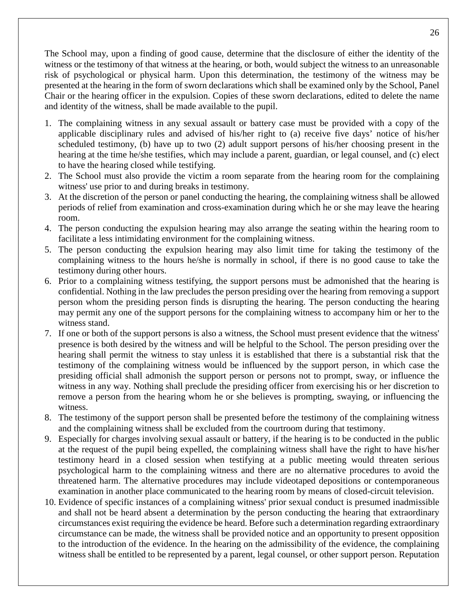The School may, upon a finding of good cause, determine that the disclosure of either the identity of the witness or the testimony of that witness at the hearing, or both, would subject the witness to an unreasonable risk of psychological or physical harm. Upon this determination, the testimony of the witness may be presented at the hearing in the form of sworn declarations which shall be examined only by the School, Panel Chair or the hearing officer in the expulsion. Copies of these sworn declarations, edited to delete the name and identity of the witness, shall be made available to the pupil.

- 1. The complaining witness in any sexual assault or battery case must be provided with a copy of the applicable disciplinary rules and advised of his/her right to (a) receive five days' notice of his/her scheduled testimony, (b) have up to two (2) adult support persons of his/her choosing present in the hearing at the time he/she testifies, which may include a parent, guardian, or legal counsel, and (c) elect to have the hearing closed while testifying.
- 2. The School must also provide the victim a room separate from the hearing room for the complaining witness' use prior to and during breaks in testimony.
- 3. At the discretion of the person or panel conducting the hearing, the complaining witness shall be allowed periods of relief from examination and cross-examination during which he or she may leave the hearing room.
- 4. The person conducting the expulsion hearing may also arrange the seating within the hearing room to facilitate a less intimidating environment for the complaining witness.
- 5. The person conducting the expulsion hearing may also limit time for taking the testimony of the complaining witness to the hours he/she is normally in school, if there is no good cause to take the testimony during other hours.
- 6. Prior to a complaining witness testifying, the support persons must be admonished that the hearing is confidential. Nothing in the law precludes the person presiding over the hearing from removing a support person whom the presiding person finds is disrupting the hearing. The person conducting the hearing may permit any one of the support persons for the complaining witness to accompany him or her to the witness stand.
- 7. If one or both of the support persons is also a witness, the School must present evidence that the witness' presence is both desired by the witness and will be helpful to the School. The person presiding over the hearing shall permit the witness to stay unless it is established that there is a substantial risk that the testimony of the complaining witness would be influenced by the support person, in which case the presiding official shall admonish the support person or persons not to prompt, sway, or influence the witness in any way. Nothing shall preclude the presiding officer from exercising his or her discretion to remove a person from the hearing whom he or she believes is prompting, swaying, or influencing the witness.
- 8. The testimony of the support person shall be presented before the testimony of the complaining witness and the complaining witness shall be excluded from the courtroom during that testimony.
- 9. Especially for charges involving sexual assault or battery, if the hearing is to be conducted in the public at the request of the pupil being expelled, the complaining witness shall have the right to have his/her testimony heard in a closed session when testifying at a public meeting would threaten serious psychological harm to the complaining witness and there are no alternative procedures to avoid the threatened harm. The alternative procedures may include videotaped depositions or contemporaneous examination in another place communicated to the hearing room by means of closed-circuit television.
- 10. Evidence of specific instances of a complaining witness' prior sexual conduct is presumed inadmissible and shall not be heard absent a determination by the person conducting the hearing that extraordinary circumstances exist requiring the evidence be heard. Before such a determination regarding extraordinary circumstance can be made, the witness shall be provided notice and an opportunity to present opposition to the introduction of the evidence. In the hearing on the admissibility of the evidence, the complaining witness shall be entitled to be represented by a parent, legal counsel, or other support person. Reputation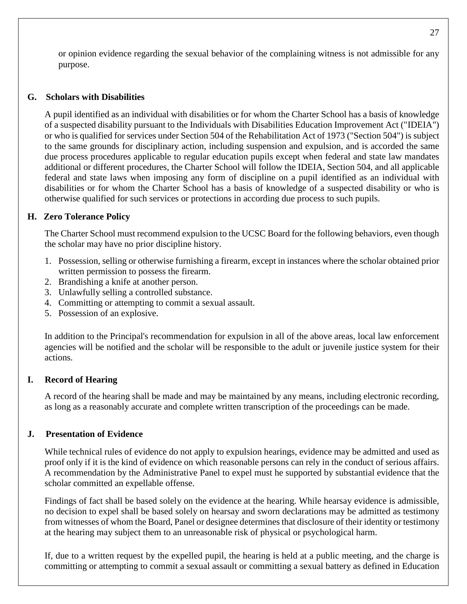or opinion evidence regarding the sexual behavior of the complaining witness is not admissible for any purpose.

### **G. Scholars with Disabilities**

A pupil identified as an individual with disabilities or for whom the Charter School has a basis of knowledge of a suspected disability pursuant to the Individuals with Disabilities Education Improvement Act ("IDEIA") or who is qualified for services under Section 504 of the Rehabilitation Act of 1973 ("Section 504") is subject to the same grounds for disciplinary action, including suspension and expulsion, and is accorded the same due process procedures applicable to regular education pupils except when federal and state law mandates additional or different procedures, the Charter School will follow the IDEIA, Section 504, and all applicable federal and state laws when imposing any form of discipline on a pupil identified as an individual with disabilities or for whom the Charter School has a basis of knowledge of a suspected disability or who is otherwise qualified for such services or protections in according due process to such pupils.

### **H. Zero Tolerance Policy**

The Charter School must recommend expulsion to the UCSC Board for the following behaviors, even though the scholar may have no prior discipline history.

- 1. Possession, selling or otherwise furnishing a firearm, except in instances where the scholar obtained prior written permission to possess the firearm.
- 2. Brandishing a knife at another person.
- 3. Unlawfully selling a controlled substance.
- 4. Committing or attempting to commit a sexual assault.
- 5. Possession of an explosive.

In addition to the Principal's recommendation for expulsion in all of the above areas, local law enforcement agencies will be notified and the scholar will be responsible to the adult or juvenile justice system for their actions.

### **I. Record of Hearing**

A record of the hearing shall be made and may be maintained by any means, including electronic recording, as long as a reasonably accurate and complete written transcription of the proceedings can be made.

#### **J. Presentation of Evidence**

While technical rules of evidence do not apply to expulsion hearings, evidence may be admitted and used as proof only if it is the kind of evidence on which reasonable persons can rely in the conduct of serious affairs. A recommendation by the Administrative Panel to expel must he supported by substantial evidence that the scholar committed an expellable offense.

Findings of fact shall be based solely on the evidence at the hearing. While hearsay evidence is admissible, no decision to expel shall be based solely on hearsay and sworn declarations may be admitted as testimony from witnesses of whom the Board, Panel or designee determines that disclosure of their identity or testimony at the hearing may subject them to an unreasonable risk of physical or psychological harm.

If, due to a written request by the expelled pupil, the hearing is held at a public meeting, and the charge is committing or attempting to commit a sexual assault or committing a sexual battery as defined in Education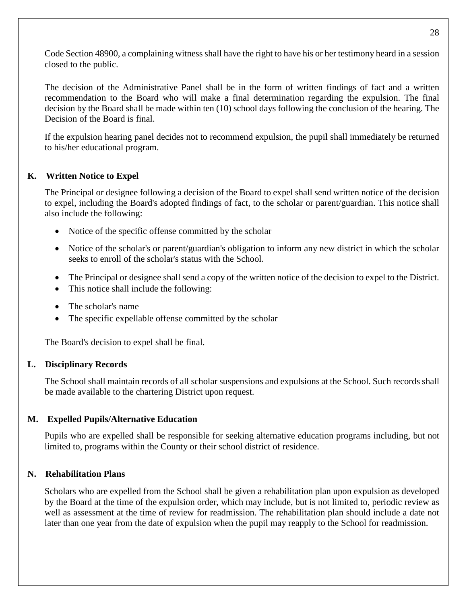Code Section 48900, a complaining witness shall have the right to have his or her testimony heard in a session closed to the public.

The decision of the Administrative Panel shall be in the form of written findings of fact and a written recommendation to the Board who will make a final determination regarding the expulsion. The final decision by the Board shall be made within ten (10) school days following the conclusion of the hearing. The Decision of the Board is final.

If the expulsion hearing panel decides not to recommend expulsion, the pupil shall immediately be returned to his/her educational program.

### **K. Written Notice to Expel**

The Principal or designee following a decision of the Board to expel shall send written notice of the decision to expel, including the Board's adopted findings of fact, to the scholar or parent/guardian. This notice shall also include the following:

- Notice of the specific offense committed by the scholar
- Notice of the scholar's or parent/guardian's obligation to inform any new district in which the scholar seeks to enroll of the scholar's status with the School.
- The Principal or designee shall send a copy of the written notice of the decision to expel to the District.
- This notice shall include the following:
- The scholar's name
- The specific expellable offense committed by the scholar

The Board's decision to expel shall be final.

#### **L. Disciplinary Records**

The School shall maintain records of all scholar suspensions and expulsions at the School. Such records shall be made available to the chartering District upon request.

#### **M. Expelled Pupils/Alternative Education**

Pupils who are expelled shall be responsible for seeking alternative education programs including, but not limited to, programs within the County or their school district of residence.

### **N. Rehabilitation Plans**

Scholars who are expelled from the School shall be given a rehabilitation plan upon expulsion as developed by the Board at the time of the expulsion order, which may include, but is not limited to, periodic review as well as assessment at the time of review for readmission. The rehabilitation plan should include a date not later than one year from the date of expulsion when the pupil may reapply to the School for readmission.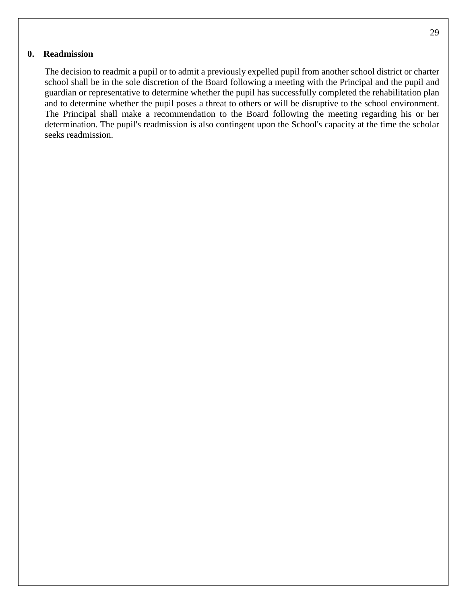#### **0. Readmission**

The decision to readmit a pupil or to admit a previously expelled pupil from another school district or charter school shall be in the sole discretion of the Board following a meeting with the Principal and the pupil and guardian or representative to determine whether the pupil has successfully completed the rehabilitation plan and to determine whether the pupil poses a threat to others or will be disruptive to the school environment. The Principal shall make a recommendation to the Board following the meeting regarding his or her determination. The pupil's readmission is also contingent upon the School's capacity at the time the scholar seeks readmission.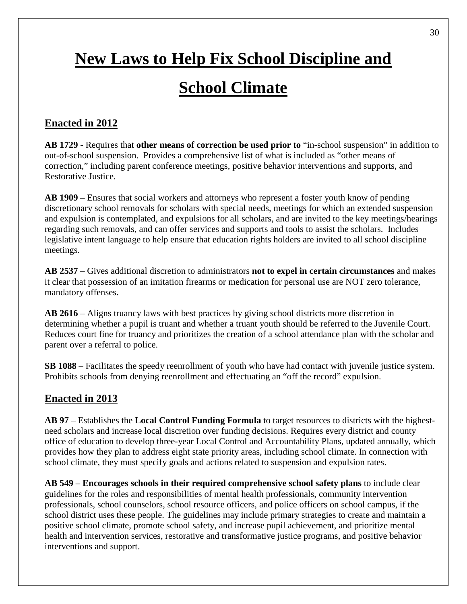# <span id="page-30-0"></span>**New Laws to Help Fix School Discipline and School Climate**

## <span id="page-30-1"></span>**Enacted in 2012**

**AB 1729** - Requires that **other means of correction be used prior to** "in-school suspension" in addition to out-of-school suspension. Provides a comprehensive list of what is included as "other means of correction," including parent conference meetings, positive behavior interventions and supports, and Restorative Justice.

**AB 1909** – Ensures that social workers and attorneys who represent a foster youth know of pending discretionary school removals for scholars with special needs, meetings for which an extended suspension and expulsion is contemplated, and expulsions for all scholars, and are invited to the key meetings/hearings regarding such removals, and can offer services and supports and tools to assist the scholars. Includes legislative intent language to help ensure that education rights holders are invited to all school discipline meetings.

**AB 2537** – Gives additional discretion to administrators **not to expel in certain circumstances** and makes it clear that possession of an imitation firearms or medication for personal use are NOT zero tolerance, mandatory offenses.

**AB 2616** – Aligns truancy laws with best practices by giving school districts more discretion in determining whether a pupil is truant and whether a truant youth should be referred to the Juvenile Court. Reduces court fine for truancy and prioritizes the creation of a school attendance plan with the scholar and parent over a referral to police.

**SB 1088** – Facilitates the speedy reenrollment of youth who have had contact with juvenile justice system. Prohibits schools from denying reenrollment and effectuating an "off the record" expulsion.

## **Enacted in 2013**

**AB 97** – Establishes the **Local Control Funding Formula** to target resources to districts with the highestneed scholars and increase local discretion over funding decisions. Requires every district and county office of education to develop three-year Local Control and Accountability Plans, updated annually, which provides how they plan to address eight state priority areas, including school climate. In connection with school climate, they must specify goals and actions related to suspension and expulsion rates.

**AB 549** – **Encourages schools in their required comprehensive school safety plans** to include clear guidelines for the roles and responsibilities of mental health professionals, community intervention professionals, school counselors, school resource officers, and police officers on school campus, if the school district uses these people. The guidelines may include primary strategies to create and maintain a positive school climate, promote school safety, and increase pupil achievement, and prioritize mental health and intervention services, restorative and transformative justice programs, and positive behavior interventions and support.